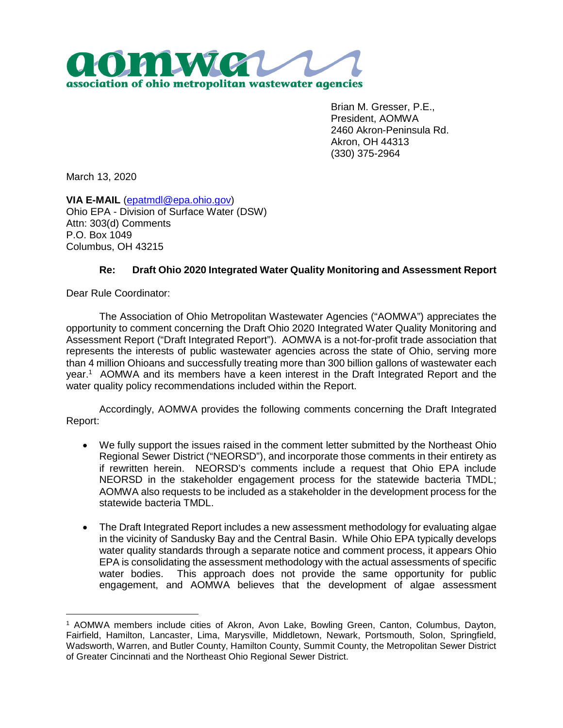

Brian M. Gresser, P.E., President, AOMWA 2460 Akron-Peninsula Rd. Akron, OH 44313 (330) 375-2964

March 13, 2020

**VIA E-MAIL** (epatmdl@epa.ohio.gov) Ohio EPA - Division of Surface Water (DSW) Attn: 303(d) Comments P.O. Box 1049 Columbus, OH 43215

## **Re: Draft Ohio 2020 Integrated Water Quality Monitoring and Assessment Report**

Dear Rule Coordinator:

The Association of Ohio Metropolitan Wastewater Agencies ("AOMWA") appreciates the opportunity to comment concerning the Draft Ohio 2020 Integrated Water Quality Monitoring and Assessment Report ("Draft Integrated Report"). AOMWA is a not-for-profit trade association that represents the interests of public wastewater agencies across the state of Ohio, serving more than 4 million Ohioans and successfully treating more than 300 billion gallons of wastewater each year.<sup>1</sup> AOMWA and its members have a keen interest in the Draft Integrated Report and the water quality policy recommendations included within the Report.

Accordingly, AOMWA provides the following comments concerning the Draft Integrated Report:

- We fully support the issues raised in the comment letter submitted by the Northeast Ohio Regional Sewer District ("NEORSD"), and incorporate those comments in their entirety as if rewritten herein. NEORSD's comments include a request that Ohio EPA include NEORSD in the stakeholder engagement process for the statewide bacteria TMDL; AOMWA also requests to be included as a stakeholder in the development process for the statewide bacteria TMDL.
- The Draft Integrated Report includes a new assessment methodology for evaluating algae in the vicinity of Sandusky Bay and the Central Basin. While Ohio EPA typically develops water quality standards through a separate notice and comment process, it appears Ohio EPA is consolidating the assessment methodology with the actual assessments of specific water bodies. This approach does not provide the same opportunity for public engagement, and AOMWA believes that the development of algae assessment

<sup>1</sup> AOMWA members include cities of Akron, Avon Lake, Bowling Green, Canton, Columbus, Dayton, Fairfield, Hamilton, Lancaster, Lima, Marysville, Middletown, Newark, Portsmouth, Solon, Springfield, Wadsworth, Warren, and Butler County, Hamilton County, Summit County, the Metropolitan Sewer District of Greater Cincinnati and the Northeast Ohio Regional Sewer District.